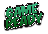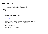# **U8's and U10's (45 minutes)**

## **Guidelines**

- Remember to watch the instructional videos provided for each drill (click the title of the drill)
- If you have questions about the session please ask coaches or email programs@fdba.com.au
- Print this session plan or keep it open on your phone/tablet to refer back to during the session

#### Equipment

- Basketball
- Enough space to move around freely (minimum 4m X 4m)
- Appropriate clothing participants wearing domestic team uniform
- Drink bottle
- 8-10 cones or objects to use as cones
- 3-5 rolls of toilet paper
- Bluetooth headphones/speaker
- Tablet (preferably) or phone with Zoom installed and signed in

### Zoom Links

- [Game Ready -](https://us06web.zoom.us/j/82794883506?pwd=SENndUU3bkN3OFVXY0FNYk10dDBzdz09) U8's
- [Game Ready -](https://us06web.zoom.us/j/88268202681?pwd=Y29xRFVoQmRxdDRDMFMvQ3N2Vm8zUT09) U10's

### Glossary of Terms

- **Dribbling:** The act of bouncing the ball in to the ground repeatedly enabling you to move freely around the court
- **"Dogs Paw"**: Relaxed finger tips and wrist, timing the movement to absorb impact of the ball and gently push the ball back towards the ground
- **"Sit on an imaginary toilet/chair":** A fun and simple way to get a players to "sit" in to an "athletic stance"
- **Triple Threat:** A position similar to "athletic stance" but holding the ball at your hip on the same side of your preferred hand ready to shoot, dribble or pass

### Focus Points and Objectives

- Create a fun learning environment for the kids
- Get kids active, outside and enjoying sport
- Build children's knowledge of basketball
- Start to teach the fundamentals of ball handling AKA "Dribbling"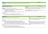## **[Warm Up](https://youtu.be/71Mwch0hJXg)** 5 minutes

High Knees X 10m, Run Backwards X 10m, Lateral Sideways March X 10m each leg, 1 Foot Hop X 10m, 2 Foot Hop X 10m 30 seconds each

| <b>Fundamentals of Ball Handling</b>                                                                                                                                                                                                                                              |                                                                                                                                                     | 5-10 minutes |
|-----------------------------------------------------------------------------------------------------------------------------------------------------------------------------------------------------------------------------------------------------------------------------------|-----------------------------------------------------------------------------------------------------------------------------------------------------|--------------|
| Equipment: Basketball and 2m X 2m space                                                                                                                                                                                                                                           | <b>Coaching Cues</b><br>"Dogs Paw" – Players can often have difficulty understanding this movement and over                                         |              |
| <b>Purpose:</b> To teach the fundamentals of dribbling a basketball<br><b>Instructions</b>                                                                                                                                                                                        | correct the fingertips instructions, have them mimic the movement a dogs paw makes<br>and encourage them to time this with the movement of the ball |              |
| Control dribbles L&R, low dribble L&R, crossover dribble L&R X 30 seconds each<br>Teach the players to use their fingertips<br>Encourage them to develop both hands equally<br>Encourage players in to a proper athletic stance - knees and hips bent like a "seated"<br>position | "Sit on an imaginary toilet/chair" - Kids love this and it helps get them to bend their<br>knees and hips in order to stay in an "athletic stance"  |              |
| Challenge<br>Have the player count how many dribbles they can achieve in a row<br>Have the player count how many dribbles they can get on each hand in 30 seconds                                                                                                                 |                                                                                                                                                     |              |

| <b>Farmers Gates</b>                                                                                                                                                                                                                                                                                                                                                                                                                                                                                          | 5-10 minutes                                                                                                                                                                                                                                                                                                     |
|---------------------------------------------------------------------------------------------------------------------------------------------------------------------------------------------------------------------------------------------------------------------------------------------------------------------------------------------------------------------------------------------------------------------------------------------------------------------------------------------------------------|------------------------------------------------------------------------------------------------------------------------------------------------------------------------------------------------------------------------------------------------------------------------------------------------------------------|
| Equipment: Basketball, 8-10 cones and as much open space as possible                                                                                                                                                                                                                                                                                                                                                                                                                                          | Coach                                                                                                                                                                                                                                                                                                            |
| Purpose: To help with spatial awareness, vision and gives kids a chance to apply their new skills to a game                                                                                                                                                                                                                                                                                                                                                                                                   | Continue to focus on technique but allow the player to experiment with<br>changes in direction and figure out the movement of the basketball as<br>they move around and navigate through cones                                                                                                                   |
| <b>Instructions</b><br>2-3 games of around 30 seconds to a minute, each time add rule or instruction<br>Lay out 5 pairs of cones roughly a metre apart, these pairs of cones will form the "gates"<br>Have the player start with their basketball at a random position between all of the "gates"<br>Call them to start the game by dribbling the ball and navigating through as many "gates" as possible<br>Run the game for 30 seconds to a minute and record how many "gates" they are able to run through | Cues<br>This game will force the player to keep their eyes up but still encourage<br>them to keep, you will notice they will drop their eyes immediately<br>after passing through a "gate". Encourage them to plan their path to<br>the next gate as they are passing through to help work on decision<br>making |
| Challenge<br>Have the player keep their score and attempt to beat it each time<br>Award bonus points for dribbling through a "gate" with their non-preferred hand<br>Award bonus points for performing a crossover dribble before dribbling through a "gate"                                                                                                                                                                                                                                                  |                                                                                                                                                                                                                                                                                                                  |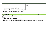| The Red Light Game                                                                                       |                      | 5-10 minutes |
|----------------------------------------------------------------------------------------------------------|----------------------|--------------|
| Equipment: Basketball and 4m X 4m space                                                                  | <b>Coaching Cues</b> |              |
|                                                                                                          | "Dogs Paw"           |              |
| Purpose: To challenge the players ball handling and reactive skills                                      |                      |              |
| Setup                                                                                                    | "Fingertips"         |              |
| 2-3 games of around 30 seconds to a minute, each time add rule or instruction                            |                      |              |
| Have the player start in an open space ready to start dribbling                                          |                      |              |
| Use the cue "Yellow Light" to signal them to start walking while dribbling, the cue "Green"<br>$\bullet$ |                      |              |
| Light" to signal them to start jogging and the cue "Red Light" to signal them to stop                    |                      |              |
| Challenge                                                                                                |                      |              |
| Introduce the cue "Orange Light" to have the players dribble walking backwards                           |                      |              |
| On the cue "Red Light" teach them to stop in a "triple threat" position                                  |                      |              |

| <b>Game Ready "Olympics"</b>                                                                                                                                           | 10 minutes |
|------------------------------------------------------------------------------------------------------------------------------------------------------------------------|------------|
| Equipment: Basketball, 3-5 rolls of toilet paper, cones/markers, and 4m X 4m space                                                                                     |            |
| Purpose: To challenge the players ball handling and physical skills                                                                                                    |            |
| <b>Instructions</b>                                                                                                                                                    |            |
| Spend around 2-3 minutes on each of the games below                                                                                                                    |            |
| Speed body wraps - Legs, waist, head X 10 and Figure-8 X 10 FIRST PERSON TO PRESS THUMBS UP EMOJI WINS!                                                                |            |
| Toilet paper high jump - Challenge the kids to see how many rolls they can jump                                                                                        |            |
| Chest pass "long throw" – Have them start at one cone and throw the ball as far as they can, measure the distance with a cone and then finally measure with their feet |            |